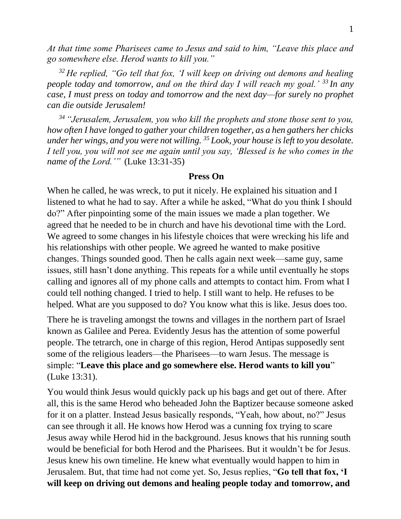*At that time some Pharisees came to Jesus and said to him, "Leave this place and go somewhere else. Herod wants to kill you."* 

*<sup>32</sup> He replied, "Go tell that fox, 'I will keep on driving out demons and healing people today and tomorrow, and on the third day I will reach my goal.'* <sup>33</sup> In any *case, I must press on today and tomorrow and the next day—for surely no prophet can die outside Jerusalem!* 

*<sup>34</sup> "Jerusalem, Jerusalem, you who kill the prophets and stone those sent to you, how often I have longed to gather your children together, as a hen gathers her chicks under her wings, and you were not willing. <sup>35</sup> Look, your house is left to you desolate. I tell you, you will not see me again until you say, 'Blessed is he who comes in the name of the Lord.'"* (Luke 13:31-35)

## **Press On**

When he called, he was wreck, to put it nicely. He explained his situation and I listened to what he had to say. After a while he asked, "What do you think I should do?" After pinpointing some of the main issues we made a plan together. We agreed that he needed to be in church and have his devotional time with the Lord. We agreed to some changes in his lifestyle choices that were wrecking his life and his relationships with other people. We agreed he wanted to make positive changes. Things sounded good. Then he calls again next week—same guy, same issues, still hasn't done anything. This repeats for a while until eventually he stops calling and ignores all of my phone calls and attempts to contact him. From what I could tell nothing changed. I tried to help. I still want to help. He refuses to be helped. What are you supposed to do? You know what this is like. Jesus does too.

There he is traveling amongst the towns and villages in the northern part of Israel known as Galilee and Perea. Evidently Jesus has the attention of some powerful people. The tetrarch, one in charge of this region, Herod Antipas supposedly sent some of the religious leaders—the Pharisees—to warn Jesus. The message is simple: "**Leave this place and go somewhere else. Herod wants to kill you**" (Luke 13:31).

You would think Jesus would quickly pack up his bags and get out of there. After all, this is the same Herod who beheaded John the Baptizer because someone asked for it on a platter. Instead Jesus basically responds, "Yeah, how about, no?" Jesus can see through it all. He knows how Herod was a cunning fox trying to scare Jesus away while Herod hid in the background. Jesus knows that his running south would be beneficial for both Herod and the Pharisees. But it wouldn't be for Jesus. Jesus knew his own timeline. He knew what eventually would happen to him in Jerusalem. But, that time had not come yet. So, Jesus replies, "**Go tell that fox, 'I will keep on driving out demons and healing people today and tomorrow, and**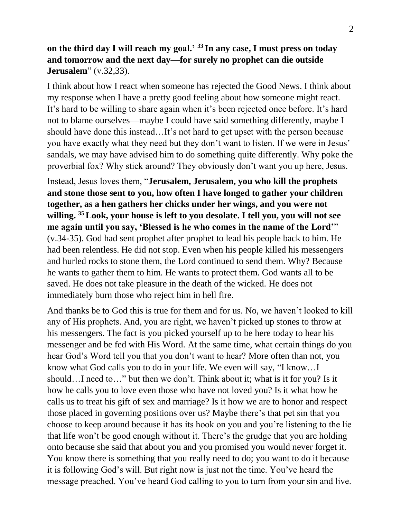## **on the third day I will reach my goal.' <sup>33</sup> In any case, I must press on today and tomorrow and the next day—for surely no prophet can die outside Jerusalem**" (v.32,33).

I think about how I react when someone has rejected the Good News. I think about my response when I have a pretty good feeling about how someone might react. It's hard to be willing to share again when it's been rejected once before. It's hard not to blame ourselves—maybe I could have said something differently, maybe I should have done this instead…It's not hard to get upset with the person because you have exactly what they need but they don't want to listen. If we were in Jesus' sandals, we may have advised him to do something quite differently. Why poke the proverbial fox? Why stick around? They obviously don't want you up here, Jesus.

Instead, Jesus loves them, "**Jerusalem, Jerusalem, you who kill the prophets and stone those sent to you, how often I have longed to gather your children together, as a hen gathers her chicks under her wings, and you were not willing. <sup>35</sup>Look, your house is left to you desolate. I tell you, you will not see me again until you say, 'Blessed is he who comes in the name of the Lord'**" (v.34-35). God had sent prophet after prophet to lead his people back to him. He had been relentless. He did not stop. Even when his people killed his messengers and hurled rocks to stone them, the Lord continued to send them. Why? Because he wants to gather them to him. He wants to protect them. God wants all to be saved. He does not take pleasure in the death of the wicked. He does not immediately burn those who reject him in hell fire.

And thanks be to God this is true for them and for us. No, we haven't looked to kill any of His prophets. And, you are right, we haven't picked up stones to throw at his messengers. The fact is you picked yourself up to be here today to hear his messenger and be fed with His Word. At the same time, what certain things do you hear God's Word tell you that you don't want to hear? More often than not, you know what God calls you to do in your life. We even will say, "I know…I should…I need to…" but then we don't. Think about it; what is it for you? Is it how he calls you to love even those who have not loved you? Is it what how he calls us to treat his gift of sex and marriage? Is it how we are to honor and respect those placed in governing positions over us? Maybe there's that pet sin that you choose to keep around because it has its hook on you and you're listening to the lie that life won't be good enough without it. There's the grudge that you are holding onto because she said that about you and you promised you would never forget it. You know there is something that you really need to do; you want to do it because it is following God's will. But right now is just not the time. You've heard the message preached. You've heard God calling to you to turn from your sin and live.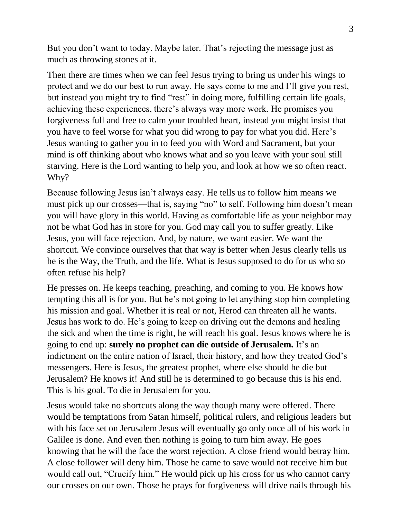But you don't want to today. Maybe later. That's rejecting the message just as much as throwing stones at it.

Then there are times when we can feel Jesus trying to bring us under his wings to protect and we do our best to run away. He says come to me and I'll give you rest, but instead you might try to find "rest" in doing more, fulfilling certain life goals, achieving these experiences, there's always way more work. He promises you forgiveness full and free to calm your troubled heart, instead you might insist that you have to feel worse for what you did wrong to pay for what you did. Here's Jesus wanting to gather you in to feed you with Word and Sacrament, but your mind is off thinking about who knows what and so you leave with your soul still starving. Here is the Lord wanting to help you, and look at how we so often react. Why?

Because following Jesus isn't always easy. He tells us to follow him means we must pick up our crosses—that is, saying "no" to self. Following him doesn't mean you will have glory in this world. Having as comfortable life as your neighbor may not be what God has in store for you. God may call you to suffer greatly. Like Jesus, you will face rejection. And, by nature, we want easier. We want the shortcut. We convince ourselves that that way is better when Jesus clearly tells us he is the Way, the Truth, and the life. What is Jesus supposed to do for us who so often refuse his help?

He presses on. He keeps teaching, preaching, and coming to you. He knows how tempting this all is for you. But he's not going to let anything stop him completing his mission and goal. Whether it is real or not, Herod can threaten all he wants. Jesus has work to do. He's going to keep on driving out the demons and healing the sick and when the time is right, he will reach his goal. Jesus knows where he is going to end up: **surely no prophet can die outside of Jerusalem.** It's an indictment on the entire nation of Israel, their history, and how they treated God's messengers. Here is Jesus, the greatest prophet, where else should he die but Jerusalem? He knows it! And still he is determined to go because this is his end. This is his goal. To die in Jerusalem for you.

Jesus would take no shortcuts along the way though many were offered. There would be temptations from Satan himself, political rulers, and religious leaders but with his face set on Jerusalem Jesus will eventually go only once all of his work in Galilee is done. And even then nothing is going to turn him away. He goes knowing that he will the face the worst rejection. A close friend would betray him. A close follower will deny him. Those he came to save would not receive him but would call out, "Crucify him." He would pick up his cross for us who cannot carry our crosses on our own. Those he prays for forgiveness will drive nails through his